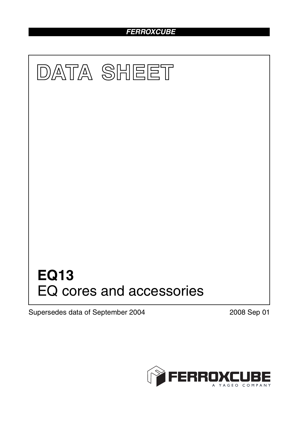# *FERROXCUBE*



Supersedes data of September 2004 2008 Sep 01

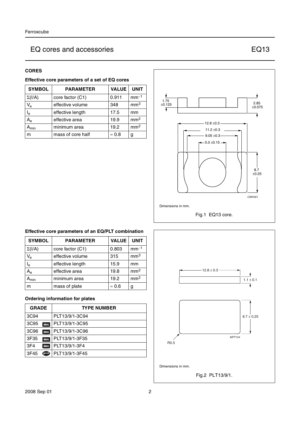## **CORES**

| <b>SYMBOL</b>             | <b>VALUE</b><br><b>UNIT</b><br><b>PARAMETER</b> |               |                 |  |
|---------------------------|-------------------------------------------------|---------------|-----------------|--|
| $\Sigma(I/A)$             | core factor (C1)                                | 0.911         | $mm-1$          |  |
| $\mathsf{V}_{\mathsf{e}}$ | effective volume                                | 348           | mm <sup>3</sup> |  |
| $\mathsf{I}_\mathsf{e}$   | 17.5<br>effective length                        |               | mm              |  |
| $\mathsf{A}_{\mathsf{e}}$ | effective area                                  | 19.9          | mm <sup>2</sup> |  |
| $A_{min}$                 | minimum area                                    | 19.2          | mm <sup>2</sup> |  |
| m                         | mass of core half                               | $\approx 0.8$ | g               |  |



## **Effective core parameters of an EQ/PLT combination**

| <b>SYMBOL</b>               | <b>PARAMETER</b> | <b>VALUE</b>  | <b>UNIT</b>     |
|-----------------------------|------------------|---------------|-----------------|
| $\Sigma(I/A)$               | core factor (C1) | 0.803         | $mm-1$          |
| $V_{e}$                     | effective volume | 315           | mm <sup>3</sup> |
| $I_e$                       | effective length | 15.9          | mm              |
| A <sub>e</sub>              | effective area   | 19.8          | mm <sup>2</sup> |
| $\mathsf{A}_{\mathsf{min}}$ | minimum area     | 19.2          | mm <sup>2</sup> |
| m                           | mass of plate    | $\approx 0.6$ | g               |

## **Ordering information for plates**

| <b>GRADE</b>    |     | <b>TYPE NUMBER</b> |
|-----------------|-----|--------------------|
| 3C94            |     | PLT13/9/1-3C94     |
| 3C95            | des | PLT13/9/1-3C95     |
| 3C96            | des | PLT13/9/1-3C96     |
| 3F35            | des | PLT13/9/1-3F35     |
| 3F <sub>4</sub> | des | PLT13/9/1-3F4      |
| 3F45            | ெ   | PLT13/9/1-3F45     |

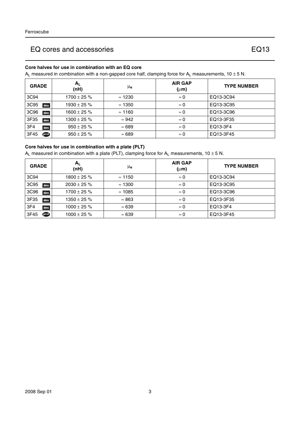### **Core halves for use in combination with an EQ core**

 $A_L$  measured in combination with a non-gapped core half, clamping force for  $A_L$  measurements, 10  $\pm$  5 N.

| <b>GRADE</b>            | $A_{L}$<br>(nH)  | μe             | <b>AIR GAP</b><br>$(\mu m)$ | <b>TYPE NUMBER</b> |
|-------------------------|------------------|----------------|-----------------------------|--------------------|
| 3C94                    | 1700 $\pm$ 25 %  | $\approx$ 1230 | $\approx 0$                 | EQ13-3C94          |
| 3C95<br>des             | $1930 \pm 25$ %  | $\approx$ 1350 | $\approx 0$                 | EQ13-3C95          |
| 3C <sub>96</sub><br>des | $1600 \pm 25 \%$ | $\approx$ 1160 | $\approx 0$                 | EQ13-3C96          |
| 3F35<br>des             | $1300 \pm 25 \%$ | $\approx 942$  | $\approx 0$                 | EQ13-3F35          |
| 3F4<br>des              | $950 \pm 25 \%$  | $\approx 689$  | $\approx 0$                 | EQ13-3F4           |
| 3F45<br><b>TO</b>       | $950 \pm 25 \%$  | $\approx 689$  | $\approx 0$                 | EQ13-3F45          |

## **Core halves for use in combination with a plate (PLT)**

 $A_L$  measured in combination with a plate (PLT), clamping force for  $A_L$  measurements, 10 ± 5 N.

| <b>GRADE</b> | $A_{L}$<br>(nH)  | μe             | <b>AIR GAP</b><br>$(\mu m)$ | <b>TYPE NUMBER</b> |
|--------------|------------------|----------------|-----------------------------|--------------------|
| 3C94         | $1800 \pm 25 \%$ | $\approx$ 1150 | $\approx 0$                 | EQ13-3C94          |
| 3C95<br>des  | $2030 \pm 25 \%$ | $\approx$ 1300 | $\approx 0$                 | EQ13-3C95          |
| 3C96<br>des  | $1700 \pm 25 \%$ | $\approx$ 1085 | $\approx 0$                 | EQ13-3C96          |
| 3F35<br>des  | $1350 \pm 25 \%$ | $\approx 863$  | $\approx 0$                 | EQ13-3F35          |
| 3F4<br>des   | $1000 \pm 25 \%$ | $\approx 639$  | $\approx 0$                 | EQ13-3F4           |
| ெ<br>3F45    | $1000 \pm 25 \%$ | $\approx 639$  | $\approx 0$                 | EQ13-3F45          |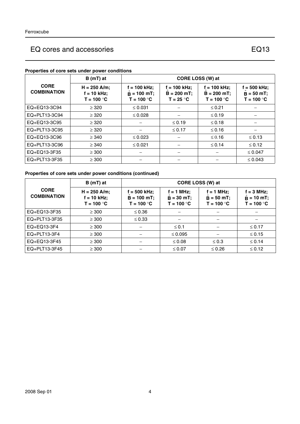## **Properties of core sets under power conditions**

|                                   | $B(mT)$ at                                      | CORE LOSS (W) at                                |                                                 |                                                 |                                                 |
|-----------------------------------|-------------------------------------------------|-------------------------------------------------|-------------------------------------------------|-------------------------------------------------|-------------------------------------------------|
| <b>CORE</b><br><b>COMBINATION</b> | $H = 250$ A/m;<br>$f = 10$ kHz;<br>$T = 100 °C$ | $f = 100$ kHz;<br>$B = 100$ mT;<br>$T = 100 °C$ | $f = 100$ kHz;<br>$B = 200 mT$ ;<br>$T = 25 °C$ | $f = 100$ kHz;<br>$B = 200$ mT;<br>$T = 100 °C$ | $f = 500$ kHz;<br>$B = 50 mT$ ;<br>$T = 100 °C$ |
| EQ+EQ13-3C94                      | $\geq$ 320                                      | $\leq 0.031$                                    |                                                 | $≤ 0.21$                                        |                                                 |
| EQ+PLT13-3C94                     | $\geq$ 320                                      | $\leq 0.028$                                    |                                                 | $\leq 0.19$                                     |                                                 |
| EQ+EQ13-3C95                      | $\geq$ 320                                      |                                                 | $\leq 0.19$                                     | $\leq$ 0.18                                     |                                                 |
| EQ+PLT13-3C95                     | $\geq$ 320                                      |                                                 | $\leq 0.17$                                     | $≤ 0.16$                                        |                                                 |
| EQ+EQ13-3C96                      | $\geq$ 340                                      | $\leq 0.023$                                    |                                                 | $\leq 0.16$                                     | $\leq 0.13$                                     |
| EQ+PLT13-3C96                     | $\geq$ 340                                      | $\leq 0.021$                                    |                                                 | $\leq$ 0.14                                     | $\leq 0.12$                                     |
| EQ+EQ13-3F35                      | $\geq$ 300                                      |                                                 |                                                 |                                                 | $\leq 0.047$                                    |
| EQ+PLT13-3F35                     | $\geq$ 300                                      |                                                 |                                                 |                                                 | $\leq 0.043$                                    |

## **Properties of core sets under power conditions (continued)**

|                                   | $B(mT)$ at                                      | CORE LOSS (W) at                              |                                              |                                              |                                                     |  |
|-----------------------------------|-------------------------------------------------|-----------------------------------------------|----------------------------------------------|----------------------------------------------|-----------------------------------------------------|--|
| <b>CORE</b><br><b>COMBINATION</b> | $H = 250$ A/m;<br>$f = 10$ kHz;<br>$T = 100 °C$ | f = 500 kHz:<br>$B = 100$ mT;<br>$T = 100 °C$ | $f = 1$ MHz;<br>$B = 30$ mT;<br>$T = 100 °C$ | $f = 1$ MHz;<br>$B = 50$ mT;<br>$T = 100 °C$ | $f = 3 MHz$ ;<br>$\hat{B} = 10$ mT;<br>$T = 100 °C$ |  |
| EQ+EQ13-3F35                      | $\geq$ 300                                      | $\leq 0.36$                                   |                                              |                                              |                                                     |  |
| EQ+PLT13-3F35                     | $\geq$ 300                                      | $\leq 0.33$                                   |                                              |                                              |                                                     |  |
| EQ+EQ13-3F4                       | $\geq$ 300                                      |                                               | $\leq$ 0.1                                   |                                              | $\leq 0.17$                                         |  |
| $EQ + PLT13-3F4$                  | $\geq$ 300                                      |                                               | $\leq 0.095$                                 |                                              | $\leq 0.15$                                         |  |
| EQ+EQ13-3F45                      | $\geq$ 300                                      | $\qquad \qquad$                               | $\leq 0.08$                                  | $\leq 0.3$                                   | $\leq 0.14$                                         |  |
| EQ+PLT13-3F45                     | $\geq 300$                                      |                                               | ≤ 0.07                                       | $\leq 0.26$                                  | $\leq 0.12$                                         |  |